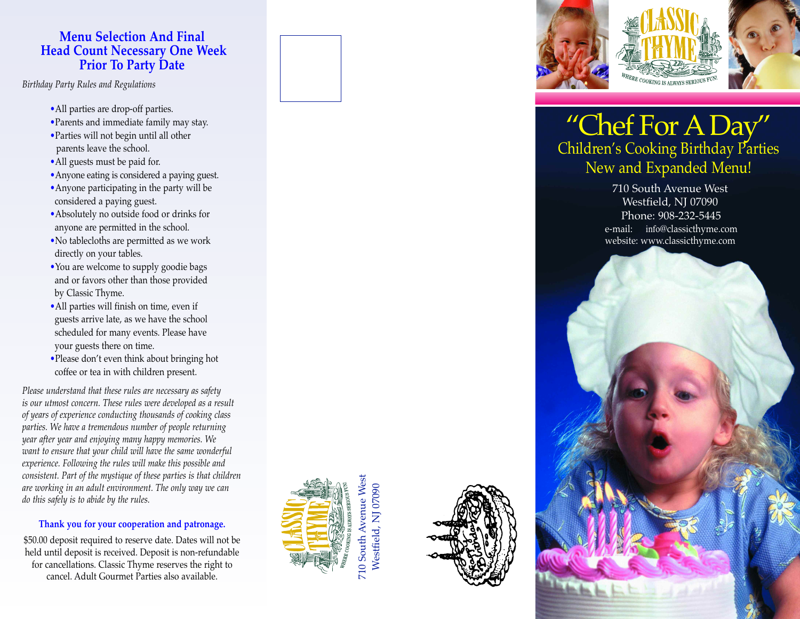# **Menu Selection And Final Head Count Necessary One Week Prior To Party Date**

*Birthday Party Rules and Regulations* 

- 
- 
- parents leave the school.
- •All guests must be paid for.
- •Anyone eating is considered a paying guest.
- •Anyone participating in the party will be considered a paying guest.
- •Absolutely no outside food or drinks for anyone are permitted in the school.
- •No tablecloths are permitted as we work directly on your tables.
- •You are welcome to supply goodie bags and or favors other than those provided by Classic Thyme.
- •All parties will finish on time, even if guests arrive late, as we have the school scheduled for many events. Please have your guests there on time.
- •Please don't even think about bringing hot coffee or tea in with children present.

*Please understand that these rules are necessary as safety is our utmost concern. These rules were developed as a result of years of experience conducting thousands of cooking class parties. We have a tremendous number of people returning year after year and enjoying many happy memories. We want to ensure that your child will have the same wonderful experience. Following the rules will make this possible and consistent. Part of the mystique of these parties is that children are working in an adult environment. The only way we can do this safely is to abide by the rules.* •All parties are drop-off parties.<br>•Parties will not begin until all other<br>•Parties will not begin until all other<br>•All guests must be paid for.<br>•All puests must be paid for.<br>•Anyone eating is considered a paying guest.<br>•

## **Thank you for your cooperation and patronage.**

\$50.00 deposit required to reserve date. Dates will not be held until deposit is received. Deposit is non-refundable for cancellations. Classic Thyme reserves the right to







# "Chef For ADay" Children's Cooking Birthday Parties New and Expanded Menu!

#### 710 South Avenue West Westfield, NJ 07090 Phone: 908-232-5445 e-mail: info@classicthyme.com website: www.classicthyme.com